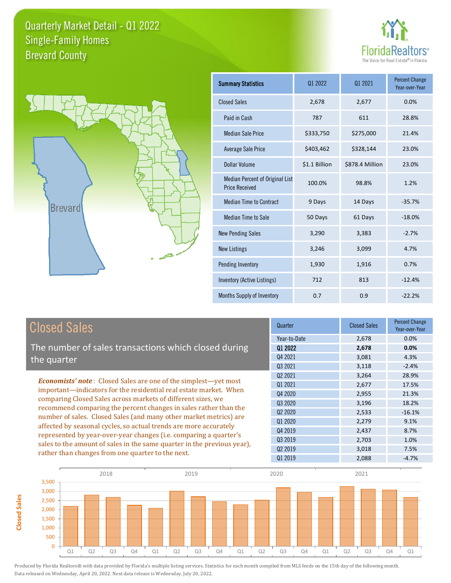



**Closed Sales**

**Closed Sales** 

| <b>Summary Statistics</b>                                | 01 2022       | 01 2021         | <b>Percent Change</b><br>Year-over-Year |
|----------------------------------------------------------|---------------|-----------------|-----------------------------------------|
| <b>Closed Sales</b>                                      | 2,678         | 2,677           | 0.0%                                    |
| Paid in Cash                                             | 787           | 611             | 28.8%                                   |
| <b>Median Sale Price</b>                                 | \$333,750     | \$275,000       | 21.4%                                   |
| <b>Average Sale Price</b>                                | \$403,462     | \$328,144       | 23.0%                                   |
| <b>Dollar Volume</b>                                     | \$1.1 Billion | \$878.4 Million | 23.0%                                   |
| Median Percent of Original List<br><b>Price Received</b> | 100.0%        | 98.8%           | 1.2%                                    |
| <b>Median Time to Contract</b>                           | 9 Days        | 14 Days         | $-35.7%$                                |
| <b>Median Time to Sale</b>                               | 50 Days       | 61 Days         | $-18.0%$                                |
| <b>New Pending Sales</b>                                 | 3,290         | 3,383           | $-2.7%$                                 |
| <b>New Listings</b>                                      | 3,246         | 3,099           | 4.7%                                    |
| Pending Inventory                                        | 1,930         | 1,916           | 0.7%                                    |
| Inventory (Active Listings)                              | 712           | 813             | $-12.4%$                                |
| <b>Months Supply of Inventory</b>                        | 0.7           | 0.9             | $-22.2%$                                |

| <b>Closed Sales</b>                                                                                                                                                                                                                                                                                                                                                                                                                                                                                                                                                                                                            | Quarter                                                                      | <b>Closed Sales</b>                       | <b>Percent Change</b><br>Year-over-Year      |
|--------------------------------------------------------------------------------------------------------------------------------------------------------------------------------------------------------------------------------------------------------------------------------------------------------------------------------------------------------------------------------------------------------------------------------------------------------------------------------------------------------------------------------------------------------------------------------------------------------------------------------|------------------------------------------------------------------------------|-------------------------------------------|----------------------------------------------|
| The number of sales transactions which closed during<br>the quarter                                                                                                                                                                                                                                                                                                                                                                                                                                                                                                                                                            | Year-to-Date<br>Q1 2022<br>Q4 2021<br>Q3 2021                                | 2,678<br>2,678<br>3,081<br>3,118          | 0.0%<br>0.0%<br>4.3%<br>$-2.4%$              |
| <b>Economists' note:</b> Closed Sales are one of the simplest—yet most<br>important-indicators for the residential real estate market. When<br>comparing Closed Sales across markets of different sizes, we<br>recommend comparing the percent changes in sales rather than the<br>number of sales. Closed Sales (and many other market metrics) are<br>affected by seasonal cycles, so actual trends are more accurately<br>represented by year-over-year changes (i.e. comparing a quarter's<br>sales to the amount of sales in the same quarter in the previous year),<br>rather than changes from one quarter to the next. | 02 2021<br>01 2021<br>Q4 2020<br>03 20 20<br>Q <sub>2</sub> 20 <sub>20</sub> | 3,264<br>2,677<br>2,955<br>3,196<br>2,533 | 28.9%<br>17.5%<br>21.3%<br>18.2%<br>$-16.1%$ |
|                                                                                                                                                                                                                                                                                                                                                                                                                                                                                                                                                                                                                                | 01 2020<br>04 2019<br>Q3 2019<br>02 2019<br>01 2019                          | 2,279<br>2,437<br>2,703<br>3,018<br>2,088 | 9.1%<br>8.7%<br>1.0%<br>7.5%<br>$-4.7%$      |

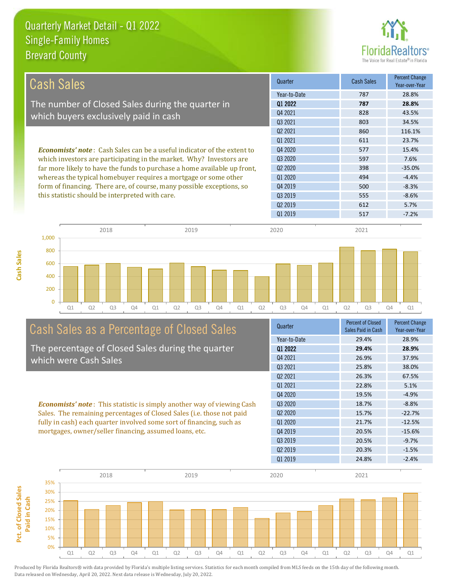**Cash Sales**



| Cash Sales                                                                                                               | Quarter             | <b>Cash Sales</b> | <b>Percent Change</b><br>Year-over-Year |
|--------------------------------------------------------------------------------------------------------------------------|---------------------|-------------------|-----------------------------------------|
|                                                                                                                          | Year-to-Date        | 787               | 28.8%                                   |
| The number of Closed Sales during the quarter in                                                                         | 01 2022             | 787               | 28.8%                                   |
| which buyers exclusively paid in cash                                                                                    | Q4 2021             | 828               | 43.5%                                   |
|                                                                                                                          | Q3 2021             | 803               | 34.5%                                   |
|                                                                                                                          | Q <sub>2</sub> 2021 | 860               | 116.1%                                  |
|                                                                                                                          | 01 2021             | 611               | 23.7%                                   |
| <b>Economists' note:</b> Cash Sales can be a useful indicator of the extent to                                           | Q4 2020             | 577               | 15.4%                                   |
| which investors are participating in the market. Why? Investors are                                                      | Q3 2020             | 597               | 7.6%                                    |
| far more likely to have the funds to purchase a home available up front,                                                 | Q <sub>2</sub> 2020 | 398               | $-35.0%$                                |
| whereas the typical homebuyer requires a mortgage or some other                                                          | Q1 2020             | 494               | $-4.4%$                                 |
| form of financing. There are, of course, many possible exceptions, so<br>this statistic should be interpreted with care. | Q4 2019             | 500               | $-8.3%$                                 |
|                                                                                                                          | 03 2019             | 555               | $-8.6%$                                 |
|                                                                                                                          | 02 2019             | 612               | 5.7%                                    |
|                                                                                                                          | Q1 2019             | 517               | $-7.2%$                                 |



# Cash Sales as a Percentage of Closed Sales

The percentage of Closed Sales during the quarter which were Cash Sales

*Economists' note* : This statistic is simply another way of viewing Cash Sales. The remaining percentages of Closed Sales (i.e. those not paid fully in cash) each quarter involved some sort of financing, such as mortgages, owner/seller financing, assumed loans, etc.

| Quarter      | <b>Percent of Closed</b><br>Sales Paid in Cash | <b>Percent Change</b><br>Year-over-Year |
|--------------|------------------------------------------------|-----------------------------------------|
| Year-to-Date | 29.4%                                          | 28.9%                                   |
| Q1 2022      | 29.4%                                          | 28.9%                                   |
| Q4 2021      | 26.9%                                          | 37.9%                                   |
| Q3 2021      | 25.8%                                          | 38.0%                                   |
| 02 2021      | 26.3%                                          | 67.5%                                   |
| 01 2021      | 22.8%                                          | 5.1%                                    |
| 04 2020      | 19.5%                                          | $-4.9%$                                 |
| 03 2020      | 18.7%                                          | $-8.8%$                                 |
| 02 2020      | 15.7%                                          | $-22.7%$                                |
| 01 2020      | 21.7%                                          | $-12.5%$                                |
| 04 2019      | 20.5%                                          | $-15.6%$                                |
| 03 2019      | 20.5%                                          | $-9.7%$                                 |
| 02 2019      | 20.3%                                          | $-1.5%$                                 |
| 01 2019      | 24.8%                                          | $-2.4%$                                 |

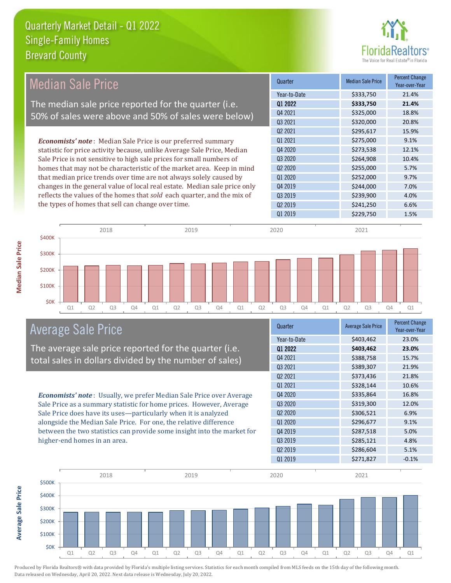

| <b>Median Sale Price</b>                                                  | Quarter                         | <b>Median Sale Price</b> | <b>Percent Change</b><br>Year-over-Year |
|---------------------------------------------------------------------------|---------------------------------|--------------------------|-----------------------------------------|
|                                                                           | Year-to-Date                    | \$333,750                | 21.4%                                   |
| The median sale price reported for the quarter (i.e.                      | 01 2022                         | \$333,750                | 21.4%                                   |
| 50% of sales were above and 50% of sales were below)                      | 04 2021                         | \$325,000                | 18.8%                                   |
|                                                                           | 03 2021                         | \$320,000                | 20.8%                                   |
|                                                                           | Q <sub>2</sub> 20 <sub>21</sub> | \$295,617                | 15.9%                                   |
| <b>Economists' note:</b> Median Sale Price is our preferred summary       | Q1 2021                         | \$275,000                | 9.1%                                    |
| statistic for price activity because, unlike Average Sale Price, Median   | Q4 2020                         | \$273,538                | 12.1%                                   |
| Sale Price is not sensitive to high sale prices for small numbers of      | Q3 2020                         | \$264,908                | 10.4%                                   |
| homes that may not be characteristic of the market area. Keep in mind     | Q <sub>2</sub> 20 <sub>20</sub> | \$255,000                | 5.7%                                    |
| that median price trends over time are not always solely caused by        | Q1 2020                         | \$252,000                | 9.7%                                    |
| changes in the general value of local real estate. Median sale price only | Q4 2019                         | \$244,000                | 7.0%                                    |
| reflects the values of the homes that sold each quarter, and the mix of   | Q3 2019                         | \$239,900                | 4.0%                                    |
| the types of homes that sell can change over time.                        | Q <sub>2</sub> 2019             | \$241,250                | 6.6%                                    |
|                                                                           | Q1 2019                         | \$229,750                | 1.5%                                    |
| 2018<br>2019<br>\$400K                                                    | 2020                            | 2021                     |                                         |
| \$300K<br>\$200K<br>\$100K                                                |                                 |                          |                                         |

Q1 Q2 Q3 Q4 Q1 Q2 Q3 Q4 Q1 Q2 Q3 Q4 Q1 Q2 Q3 Q4 Q1

# Average Sale Price

The average sale price reported for the quarter (i.e. total sales in dollars divided by the number of sales)

*Economists' note* : Usually, we prefer Median Sale Price over Average Sale Price as a summary statistic for home prices. However, Average Sale Price does have its uses—particularly when it is analyzed alongside the Median Sale Price. For one, the relative difference between the two statistics can provide some insight into the market for higher-end homes in an area.

| Quarter                         | <b>Average Sale Price</b> | <b>Percent Change</b><br>Year-over-Year |
|---------------------------------|---------------------------|-----------------------------------------|
| Year-to-Date                    | \$403,462                 | 23.0%                                   |
| Q1 2022                         | \$403,462                 | 23.0%                                   |
| Q4 2021                         | \$388,758                 | 15.7%                                   |
| Q3 2021                         | \$389,307                 | 21.9%                                   |
| Q <sub>2</sub> 2021             | \$373,436                 | 21.8%                                   |
| 01 2021                         | \$328,144                 | 10.6%                                   |
| Q4 2020                         | \$335,864                 | 16.8%                                   |
| Q3 2020                         | \$319,300                 | 12.0%                                   |
| Q <sub>2</sub> 20 <sub>20</sub> | \$306,521                 | 6.9%                                    |
| Q1 2020                         | \$296,677                 | 9.1%                                    |
| Q4 2019                         | \$287,518                 | 5.0%                                    |
| Q3 2019                         | \$285,121                 | 4.8%                                    |
| Q <sub>2</sub> 2019             | \$286,604                 | 5.1%                                    |
| Q1 2019                         | \$271,827                 | $-0.1%$                                 |



\$0K

**Average Sale Price Average Sale Price**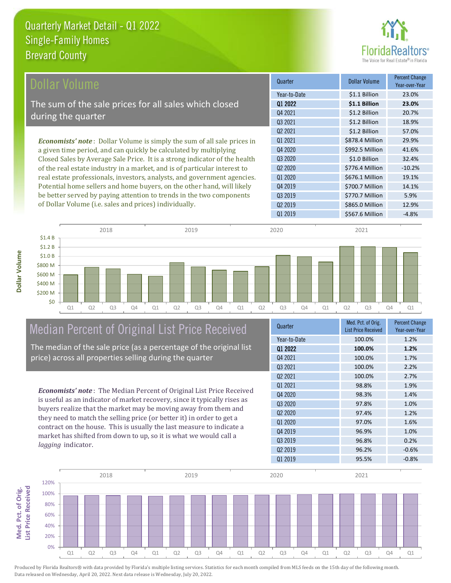

| Dollar Volume                                                                   | Quarter                         | <b>Dollar Volume</b> | <b>Percent Change</b><br>Year-over-Year |
|---------------------------------------------------------------------------------|---------------------------------|----------------------|-----------------------------------------|
|                                                                                 | Year-to-Date                    | \$1.1 Billion        | 23.0%                                   |
| The sum of the sale prices for all sales which closed                           | Q1 2022                         | \$1.1 Billion        | 23.0%                                   |
| during the quarter                                                              | Q4 2021                         | \$1.2 Billion        | 20.7%                                   |
|                                                                                 | Q3 2021                         | \$1.2 Billion        | 18.9%                                   |
|                                                                                 | Q <sub>2</sub> 2021             | \$1.2 Billion        | 57.0%                                   |
| <b>Economists' note</b> : Dollar Volume is simply the sum of all sale prices in | 01 2021                         | \$878.4 Million      | 29.9%                                   |
| a given time period, and can quickly be calculated by multiplying               | Q4 2020                         | \$992.5 Million      | 41.6%                                   |
| Closed Sales by Average Sale Price. It is a strong indicator of the health      | Q3 2020                         | \$1.0 Billion        | 32.4%                                   |
| of the real estate industry in a market, and is of particular interest to       | Q <sub>2</sub> 20 <sub>20</sub> | \$776.4 Million      | $-10.2%$                                |
| real estate professionals, investors, analysts, and government agencies.        | Q1 2020                         | \$676.1 Million      | 19.1%                                   |
| Potential home sellers and home buyers, on the other hand, will likely          | Q4 2019                         | \$700.7 Million      | 14.1%                                   |
| be better served by paying attention to trends in the two components            | Q3 2019                         | \$770.7 Million      | 5.9%                                    |

of Dollar Volume (i.e. sales and prices) individually.



# Median Percent of Original List Price Received

The median of the sale price (as a percentage of the original list price) across all properties selling during the quarter

*Economists' note* : The Median Percent of Original List Price Received is useful as an indicator of market recovery, since it typically rises as buyers realize that the market may be moving away from them and they need to match the selling price (or better it) in order to get a contract on the house. This is usually the last measure to indicate a market has shifted from down to up, so it is what we would call a *lagging* indicator.

| Quarter             | Med. Pct. of Orig.<br><b>List Price Received</b> | <b>Percent Change</b><br>Year-over-Year |
|---------------------|--------------------------------------------------|-----------------------------------------|
| Year-to-Date        | 100.0%                                           | 1.2%                                    |
| 01 2022             | 100.0%                                           | 1.2%                                    |
| Q4 2021             | 100.0%                                           | 1.7%                                    |
| 03 2021             | 100.0%                                           | 2.2%                                    |
| Q <sub>2</sub> 2021 | 100.0%                                           | 2.7%                                    |
| 01 2021             | 98.8%                                            | 1.9%                                    |
| 04 2020             | 98.3%                                            | 1.4%                                    |
| Q <sub>3</sub> 2020 | 97.8%                                            | 1.0%                                    |
| Q <sub>2</sub> 2020 | 97.4%                                            | 1.2%                                    |
| 01 2020             | 97.0%                                            | 1.6%                                    |
| 04 2019             | 96.9%                                            | 1.0%                                    |
| Q3 2019             | 96.8%                                            | 0.2%                                    |
| Q <sub>2</sub> 2019 | 96.2%                                            | $-0.6%$                                 |
| 01 2019             | 95.5%                                            | $-0.8%$                                 |

Q1 2019 **\$567.6 Million** -4.8%

Q2 2019 \$865.0 Million 12.9%

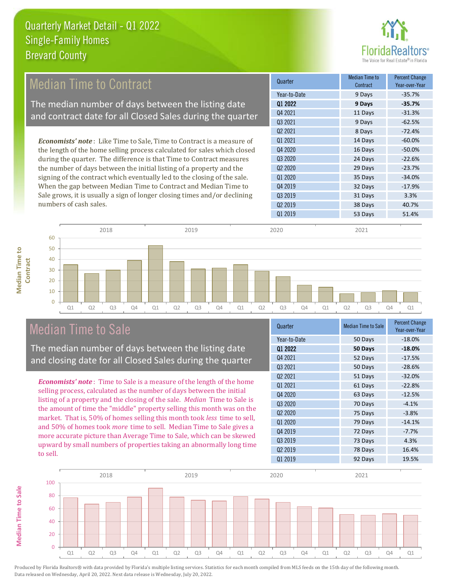

#### 9 Days -62.5% Q2 2021 8 Days -72.4% Q1 2020 35 Days -34.0% Quarter Median Time to **Median Time to Contract** Percent Change Year-over-Year Q1 2022 **9 Days -35.7%** Year-to-Date 9 Days -35.7% Q4 2021 11 Days -31.3% Q3 2021 Q3 2020 24 Days -22.6% Q2 2020 29 Days -23.7% Q1 2021 14 Days -60.0% Q4 2020 16 Days -50.0% 32 Days -17.9% Q3 2019 31 Days 3.3% Q4 2019 Q2 2019 **38 Days** 40.7% Q1 2019 53 Days 51.4% *Economists' note* : Like Time to Sale, Time to Contract is a measure of the length of the home selling process calculated for sales which closed during the quarter. The difference is that Time to Contract measures the number of days between the initial listing of a property and the signing of the contract which eventually led to the closing of the sale. When the gap between Median Time to Contract and Median Time to Sale grows, it is usually a sign of longer closing times and/or declining numbers of cash sales. 60 2018 2019 2020 2021 Median Time to Contract The median number of days between the listing date and contract date for all Closed Sales during the quarter

# **Median Time to Median Time to Contract**

**Median Time to Sale**

**Median Time to Sale** 



## Median Time to Sale

The median number of days between the listing date and closing date for all Closed Sales during the quarter

*Economists' note* : Time to Sale is a measure of the length of the home selling process, calculated as the number of days between the initial listing of a property and the closing of the sale. *Median* Time to Sale is the amount of time the "middle" property selling this month was on the market. That is, 50% of homes selling this month took *less* time to sell, and 50% of homes took *more* time to sell. Median Time to Sale gives a more accurate picture than Average Time to Sale, which can be skewed upward by small numbers of properties taking an abnormally long time to sell.

| Quarter                         | <b>Median Time to Sale</b> | <b>Percent Change</b><br>Year-over-Year |
|---------------------------------|----------------------------|-----------------------------------------|
| Year-to-Date                    | 50 Days                    | $-18.0%$                                |
| Q1 2022                         | 50 Days                    | $-18.0%$                                |
| Q4 2021                         | 52 Days                    | $-17.5%$                                |
| Q3 2021                         | 50 Days                    | $-28.6%$                                |
| Q <sub>2</sub> 20 <sub>21</sub> | 51 Days                    | $-32.0%$                                |
| 01 2021                         | 61 Days                    | $-22.8%$                                |
| Q4 2020                         | 63 Days                    | $-12.5%$                                |
| Q3 2020                         | 70 Days                    | $-4.1%$                                 |
| Q <sub>2</sub> 2020             | 75 Days                    | $-3.8%$                                 |
| Q1 2020                         | 79 Days                    | $-14.1%$                                |
| Q4 2019                         | 72 Days                    | $-7.7%$                                 |
| Q3 2019                         | 73 Days                    | 4.3%                                    |
| Q <sub>2</sub> 2019             | 78 Days                    | 16.4%                                   |
| 01 2019                         | 92 Days                    | 19.5%                                   |

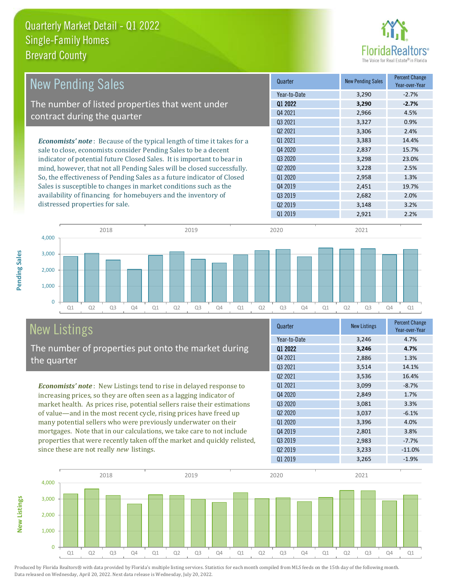

| <b>New Pending Sales</b>                                                      | Quarter                         | <b>New Pending Sales</b> | <b>Percent Change</b><br>Year-over-Year |
|-------------------------------------------------------------------------------|---------------------------------|--------------------------|-----------------------------------------|
|                                                                               | Year-to-Date                    | 3,290                    | $-2.7%$                                 |
| The number of listed properties that went under                               | 01 2022                         | 3,290                    | $-2.7%$                                 |
| contract during the quarter                                                   | Q4 2021                         | 2,966                    | 4.5%                                    |
|                                                                               | 03 2021                         | 3,327                    | 0.9%                                    |
|                                                                               | Q <sub>2</sub> 2021             | 3,306                    | 2.4%                                    |
| <b>Economists' note:</b> Because of the typical length of time it takes for a | 01 2021                         | 3,383                    | 14.4%                                   |
| sale to close, economists consider Pending Sales to be a decent               | Q4 2020                         | 2,837                    | 15.7%                                   |
| indicator of potential future Closed Sales. It is important to bear in        | Q3 2020                         | 3,298                    | 23.0%                                   |
| mind, however, that not all Pending Sales will be closed successfully.        | Q <sub>2</sub> 20 <sub>20</sub> | 3,228                    | 2.5%                                    |
| So, the effectiveness of Pending Sales as a future indicator of Closed        | Q1 2020                         | 2,958                    | 1.3%                                    |
| Sales is susceptible to changes in market conditions such as the              | Q4 2019                         | 2,451                    | 19.7%                                   |
| availability of financing for homebuyers and the inventory of                 | 03 2019                         | 2,682                    | 2.0%                                    |
| distressed properties for sale.                                               | 02 2019                         | 3,148                    | 3.2%                                    |
|                                                                               | 01 2019                         | 2,921                    | 2.2%                                    |



# New Listings

**New Listings**

**Pending Sales**

Pending Sales

The number of properties put onto the market during the quarter

*Economists' note* : New Listings tend to rise in delayed response to increasing prices, so they are often seen as a lagging indicator of market health. As prices rise, potential sellers raise their estimations of value—and in the most recent cycle, rising prices have freed up many potential sellers who were previously underwater on their mortgages. Note that in our calculations, we take care to not include properties that were recently taken off the market and quickly relisted, since these are not really *new* listings.

| Quarter                         | <b>New Listings</b> | <b>Percent Change</b><br>Year-over-Year |
|---------------------------------|---------------------|-----------------------------------------|
| Year-to-Date                    | 3,246               | 4.7%                                    |
| Q1 2022                         | 3,246               | 4.7%                                    |
| Q4 2021                         | 2,886               | 1.3%                                    |
| Q3 2021                         | 3,514               | 14.1%                                   |
| 02 2021                         | 3,536               | 16.4%                                   |
| 01 2021                         | 3,099               | $-8.7%$                                 |
| Q4 2020                         | 2,849               | 1.7%                                    |
| 03 20 20                        | 3,081               | 3.3%                                    |
| Q <sub>2</sub> 20 <sub>20</sub> | 3,037               | $-6.1%$                                 |
| Q1 2020                         | 3,396               | 4.0%                                    |
| Q4 2019                         | 2,801               | 3.8%                                    |
| Q3 2019                         | 2,983               | $-7.7%$                                 |
| Q <sub>2</sub> 2019             | 3,233               | $-11.0%$                                |
| Q1 2019                         | 3,265               | $-1.9%$                                 |

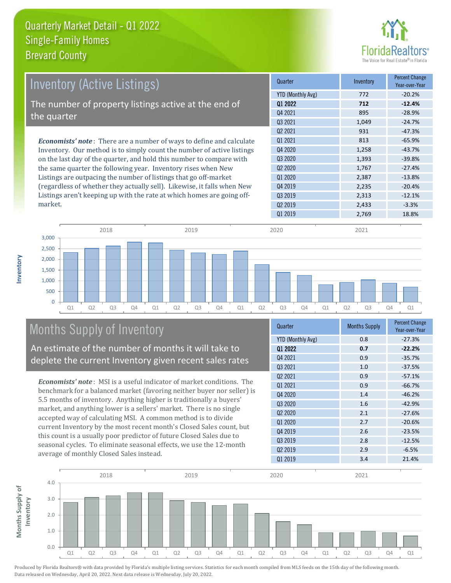

| <u>Invent</u> ory (Active Listings)                                         | Quarter             | Inventory | <b>Percent Change</b><br>Year-over-Year |
|-----------------------------------------------------------------------------|---------------------|-----------|-----------------------------------------|
|                                                                             | YTD (Monthly Avg)   | 772       | $-20.2%$                                |
| The number of property listings active at the end of                        | 01 2022             | 712       | $-12.4%$                                |
| the quarter                                                                 | Q4 2021             | 895       | $-28.9%$                                |
|                                                                             | Q3 2021             | 1.049     | $-24.7%$                                |
|                                                                             | 02 2021             | 931       | $-47.3%$                                |
| <b>Economists' note:</b> There are a number of ways to define and calculate | 01 2021             | 813       | $-65.9%$                                |
| Inventory. Our method is to simply count the number of active listings      | Q4 2020             | 1,258     | $-43.7%$                                |
| on the last day of the quarter, and hold this number to compare with        | Q3 2020             | 1,393     | $-39.8%$                                |
| the same quarter the following year. Inventory rises when New               | Q <sub>2</sub> 2020 | 1,767     | $-27.4%$                                |
| Listings are outpacing the number of listings that go off-market            | Q1 2020             | 2.387     | $-13.8%$                                |
| (regardless of whether they actually sell). Likewise, it falls when New     | Q4 2019             | 2,235     | $-20.4%$                                |

Q1 2019 2,769 18.8% Q1 Q2 Q3 Q4 Q1 Q2 Q3 Q4 Q1 Q2 Q3 Q4 Q1 Q2 Q3 Q4 Q1  $\overline{0}$ 500 1,000 1,500 2,000 2,500 3,000 2018 2019 2020 2021

# Months Supply of Inventory

An estimate of the number of months it will take to deplete the current Inventory given recent sales rates

Listings aren't keeping up with the rate at which homes are going off-

*Economists' note* : MSI is a useful indicator of market conditions. The benchmark for a balanced market (favoring neither buyer nor seller) is 5.5 months of inventory. Anything higher is traditionally a buyers' market, and anything lower is a sellers' market. There is no single accepted way of calculating MSI. A common method is to divide current Inventory by the most recent month's Closed Sales count, but this count is a usually poor predictor of future Closed Sales due to seasonal cycles. To eliminate seasonal effects, we use the 12-month average of monthly Closed Sales instead.

| Quarter                  | <b>Months Supply</b> | <b>Percent Change</b><br>Year-over-Year |  |
|--------------------------|----------------------|-----------------------------------------|--|
| <b>YTD (Monthly Avg)</b> | 0.8                  | $-27.3%$                                |  |
| Q1 2022                  | 0.7                  | $-22.2%$                                |  |
| 04 2021                  | 0.9                  | $-35.7%$                                |  |
| Q3 2021                  | 1.0                  | $-37.5%$                                |  |
| Q <sub>2</sub> 2021      | 0.9                  | $-57.1%$                                |  |
| Q1 2021                  | 0.9                  | $-66.7%$                                |  |
| Q4 2020                  | 1.4                  | $-46.2%$                                |  |
| 03 20 20                 | 1.6                  | $-42.9%$                                |  |
| 02 2020                  | 2.1                  | $-27.6%$                                |  |
| Q1 2020                  | 2.7                  | $-20.6%$                                |  |
| Q4 2019                  | 2.6                  | $-23.5%$                                |  |
| Q3 2019                  | 2.8                  | $-12.5%$                                |  |
| Q <sub>2</sub> 2019      | 2.9                  | $-6.5%$                                 |  |
| Q1 2019                  | 3.4                  | 21.4%                                   |  |

Q3 2019 2,313 -12.1%  $Q2 2019$  2,433 -3.3%



Produced by Florida Realtors® with data provided by Florida's multiple listing services. Statistics for each month compiled from MLS feeds on the 15th day of the following month. Data released on Wednesday, April 20, 2022. Next data release is Wednesday, July 20, 2022.

market.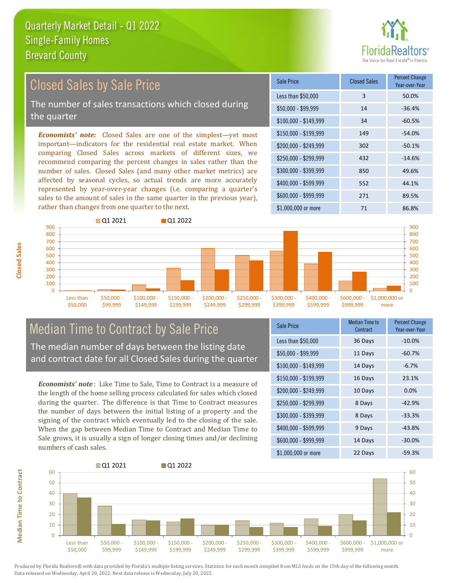

# Closed Sales by Sale Price

The number of sales transactions which closed during the quarter

*Economists' note:* Closed Sales are one of the simplest—yet most important—indicators for the residential real estate market. When comparing Closed Sales across markets of different sizes, we recommend comparing the percent changes in sales rather than the number of sales. Closed Sales (and many other market metrics) are affected by seasonal cycles, so actual trends are more accurately represented by year-over-year changes (i.e. comparing a quarter's sales to the amount of sales in the same quarter in the previous year), rather than changes from one quarter to the next.

| Sale Price            | <b>Closed Sales</b> | <b>Percent Change</b><br>Year-over-Year |
|-----------------------|---------------------|-----------------------------------------|
| Less than \$50,000    | 3                   | 50.0%                                   |
| $$50,000 - $99,999$   | 14                  | $-36.4%$                                |
| $$100,000 - $149,999$ | 34                  | $-60.5%$                                |
| $$150,000 - $199,999$ | 149                 | $-54.0%$                                |
| \$200,000 - \$249,999 | 302                 | $-50.1%$                                |
| \$250,000 - \$299,999 | 432                 | $-14.6%$                                |
| \$300,000 - \$399,999 | 850                 | 49.6%                                   |
| \$400,000 - \$599,999 | 552                 | 44.1%                                   |
| $$600,000 - $999,999$ | 271                 | 89.5%                                   |
| \$1,000,000 or more   | 71                  | 86.8%                                   |



### Median Time to Contract by Sale Price The median number of days between the listing date

and contract date for all Closed Sales during the quarter

*Economists' note* : Like Time to Sale, Time to Contract is a measure of the length of the home selling process calculated for sales which closed during the quarter. The difference is that Time to Contract measures the number of days between the initial listing of a property and the signing of the contract which eventually led to the closing of the sale. When the gap between Median Time to Contract and Median Time to Sale grows, it is usually a sign of longer closing times and/or declining numbers of cash sales.

| <b>Sale Price</b>     | Median Time to<br>Contract | <b>Percent Change</b><br>Year-over-Year |
|-----------------------|----------------------------|-----------------------------------------|
| Less than \$50,000    | 36 Days                    | $-10.0%$                                |
| \$50,000 - \$99,999   | 11 Days                    | $-60.7%$                                |
| $$100,000 - $149,999$ | 14 Days                    | $-6.7%$                                 |
| $$150,000 - $199,999$ | 16 Days                    | 23.1%                                   |
| \$200,000 - \$249,999 | 10 Days                    | 0.0%                                    |
| \$250,000 - \$299,999 | 8 Days                     | $-42.9%$                                |
| \$300,000 - \$399,999 | 8 Days                     | $-33.3%$                                |
| \$400,000 - \$599,999 | 9 Days                     | $-43.8%$                                |
| \$600,000 - \$999,999 | 14 Days                    | $-30.0%$                                |
| $$1,000,000$ or more  | 22 Days                    | $-59.3%$                                |



Produced by Florida Realtors® with data provided by Florida's multiple listing services. Statistics for each month compiled from MLS feeds on the 15th day of the following month. Data released on Wednesday, April 20, 2022. Next data release is Wednesday, July 20, 2022.

**Median Time to Contract**

**Median Time to Contract**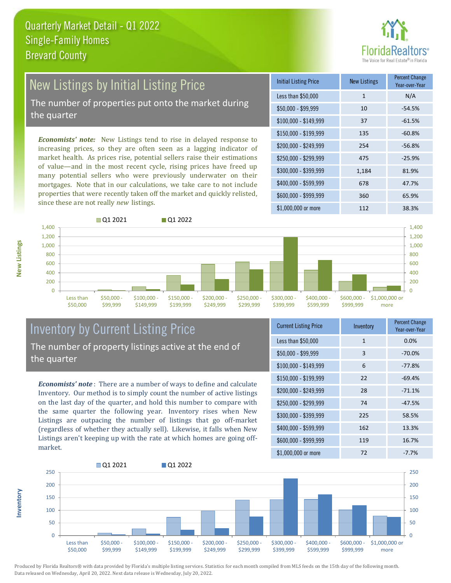# New Listings by Initial Listing Price The number of properties put onto the market during

the quarter

*Economists' note:* New Listings tend to rise in delayed response to increasing prices, so they are often seen as a lagging indicator of market health. As prices rise, potential sellers raise their estimations of value—and in the most recent cycle, rising prices have freed up many potential sellers who were previously underwater on their mortgages. Note that in our calculations, we take care to not include properties that were recently taken off the market and quickly relisted, since these are not really *new* listings.

| <b>Initial Listing Price</b> | <b>New Listings</b> | <b>Percent Change</b><br>Year-over-Year |  |
|------------------------------|---------------------|-----------------------------------------|--|
| Less than \$50,000           | $\mathbf{1}$        | N/A                                     |  |
| \$50,000 - \$99,999          | 10                  | $-54.5%$                                |  |
| $$100,000 - $149,999$        | 37                  | $-61.5%$                                |  |
| $$150,000 - $199,999$        | 135                 | $-60.8%$                                |  |
| \$200,000 - \$249,999        | 254                 | $-56.8%$                                |  |
| \$250,000 - \$299,999        | 475                 | $-25.9%$                                |  |
| \$300,000 - \$399,999        | 1,184               | 81.9%                                   |  |
| \$400,000 - \$599,999        | 678                 | 47.7%                                   |  |
| \$600,000 - \$999,999        | 360                 | 65.9%                                   |  |
| $$1,000,000$ or more         | 112                 | 38.3%                                   |  |



### Inventory by Current Listing Price The number of property listings active at the end of the quarter

*Economists' note* : There are a number of ways to define and calculate Inventory. Our method is to simply count the number of active listings on the last day of the quarter, and hold this number to compare with the same quarter the following year. Inventory rises when New Listings are outpacing the number of listings that go off-market (regardless of whether they actually sell). Likewise, it falls when New Listings aren't keeping up with the rate at which homes are going offmarket.

| <b>Current Listing Price</b> | Inventory    | <b>Percent Change</b><br>Year-over-Year |  |
|------------------------------|--------------|-----------------------------------------|--|
| Less than \$50,000           | $\mathbf{1}$ | 0.0%                                    |  |
| $$50,000 - $99,999$          | 3            | $-70.0%$                                |  |
| $$100,000 - $149,999$        | 6            | $-77.8%$                                |  |
| $$150,000 - $199,999$        | 22           | $-69.4%$                                |  |
| $$200,000 - $249,999$        | 28           | $-71.1%$                                |  |
| \$250,000 - \$299,999        | 74           | $-47.5%$                                |  |
| \$300,000 - \$399,999        | 225          | 58.5%                                   |  |
| \$400,000 - \$599,999        | 162          | 13.3%                                   |  |
| \$600,000 - \$999,999        | 119          | 16.7%                                   |  |
| \$1,000,000 or more          | 72           | $-7.7%$                                 |  |



Produced by Florida Realtors® with data provided by Florida's multiple listing services. Statistics for each month compiled from MLS feeds on the 15th day of the following month. Data released on Wednesday, April 20, 2022. Next data release is Wednesday, July 20, 2022.

**Inventory**